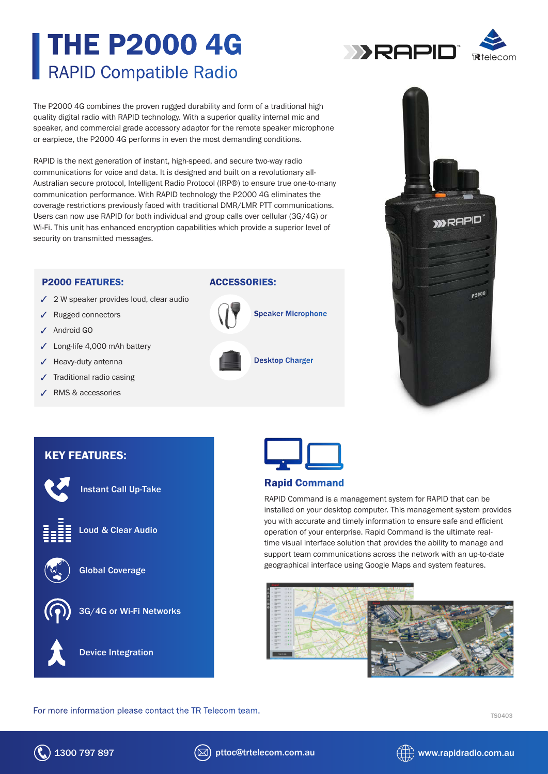## THE P2000 4G RAPID Compatible Radio

The P2000 4G combines the proven rugged durability and form of a traditional high quality digital radio with RAPID technology. With a superior quality internal mic and speaker, and commercial grade accessory adaptor for the remote speaker microphone or earpiece, the P2000 4G performs in even the most demanding conditions.

RAPID is the next generation of instant, high-speed, and secure two-way radio communications for voice and data. It is designed and built on a revolutionary all-Australian secure protocol, Intelligent Radio Protocol (IRP®) to ensure true one-to-many communication performance. With RAPID technology the P2000 4G eliminates the coverage restrictions previously faced with traditional DMR/LMR PTT communications. Users can now use RAPID for both individual and group calls over cellular (3G/4G) or Wi-Fi. This unit has enhanced encryption capabilities which provide a superior level of security on transmitted messages.

#### P2000 FEATURES:

- $\checkmark$  2 W speaker provides loud, clear audio
- Rugged connectors
- Android GO
- Long-life 4,000 mAh battery
- $\checkmark$  Heavy-duty antenna
- Traditional radio casing
- RMS & accessories

#### ACCESSORIES:

# Speaker Microphone Desktop Charger

### KEY FEATURES:



Instant Call Up-Take



Loud & Clear Audio



Global Coverage



3G/4G or Wi-Fi Networks





#### Rapid Command

RAPID Command is a management system for RAPID that can be installed on your desktop computer. This management system provides you with accurate and timely information to ensure safe and efficient operation of your enterprise. Rapid Command is the ultimate realtime visual interface solution that provides the ability to manage and support team communications across the network with an up-to-date geographical interface using Google Maps and system features.



**DERAPIO**